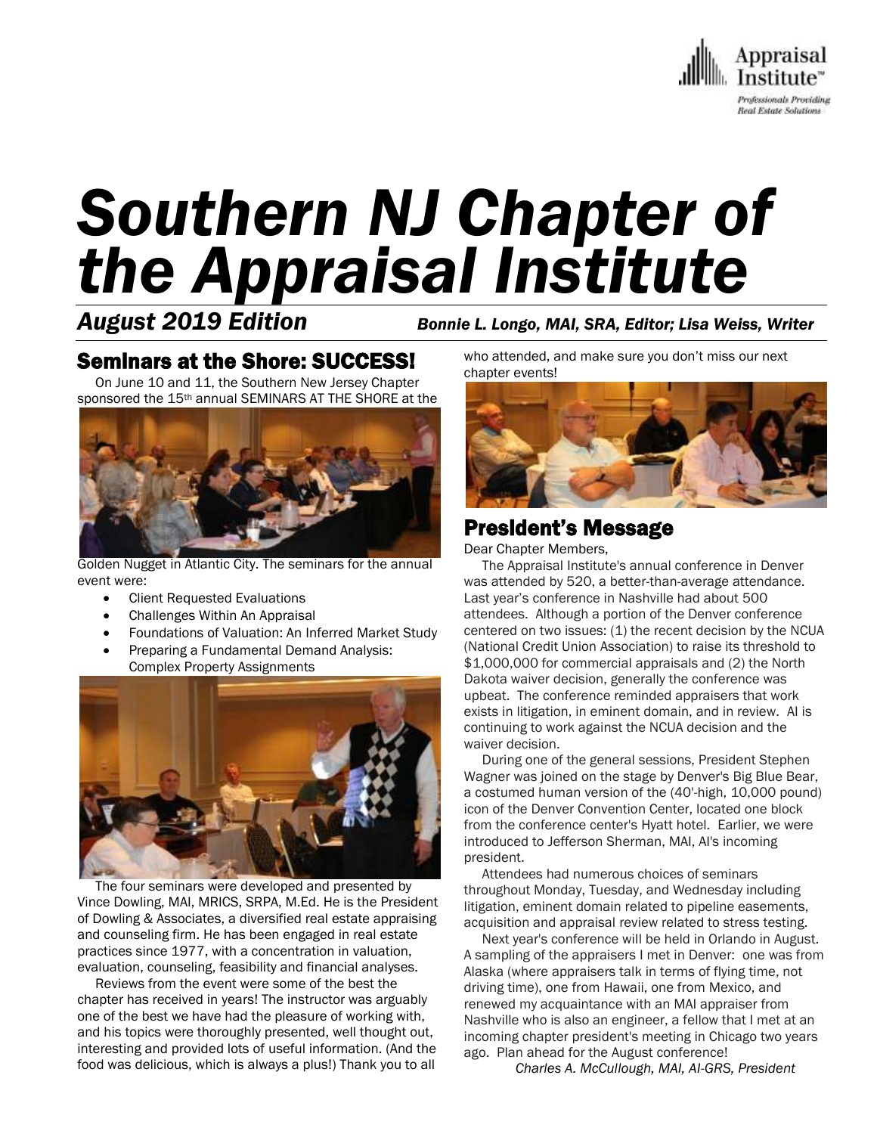

# *Southern NJ Chapter of the Appraisal Institute*

*August 2019 Edition Bonnie L. Longo, MAI, SRA, Editor; Lisa Weiss, Writer*

## Seminars at the Shore: SUCCESS!

 On June 10 and 11, the Southern New Jersey Chapter sponsored the 15<sup>th</sup> annual SEMINARS AT THE SHORE at the



Golden Nugget in Atlantic City. The seminars for the annual event were:

- Client Requested Evaluations
- Challenges Within An Appraisal
- Foundations of Valuation: An Inferred Market Study
- Preparing a Fundamental Demand Analysis: Complex Property Assignments



 The four seminars were developed and presented by Vince Dowling, MAI, MRICS, SRPA, M.Ed. He is the President of Dowling & Associates, a diversified real estate appraising and counseling firm. He has been engaged in real estate practices since 1977, with a concentration in valuation, evaluation, counseling, feasibility and financial analyses.

 Reviews from the event were some of the best the chapter has received in years! The instructor was arguably one of the best we have had the pleasure of working with, and his topics were thoroughly presented, well thought out, interesting and provided lots of useful information. (And the food was delicious, which is always a plus!) Thank you to all

who attended, and make sure you don't miss our next chapter events!



## President's Message

Dear Chapter Members,

 The Appraisal Institute's annual conference in Denver was attended by 520, a better-than-average attendance. Last year's conference in Nashville had about 500 attendees. Although a portion of the Denver conference centered on two issues: (1) the recent decision by the NCUA (National Credit Union Association) to raise its threshold to \$1,000,000 for commercial appraisals and (2) the North Dakota waiver decision, generally the conference was upbeat. The conference reminded appraisers that work exists in litigation, in eminent domain, and in review. AI is continuing to work against the NCUA decision and the waiver decision.

 During one of the general sessions, President Stephen Wagner was joined on the stage by Denver's Big Blue Bear, a costumed human version of the (40'-high, 10,000 pound) icon of the Denver Convention Center, located one block from the conference center's Hyatt hotel. Earlier, we were introduced to Jefferson Sherman, MAI, AI's incoming president.

 Attendees had numerous choices of seminars throughout Monday, Tuesday, and Wednesday including litigation, eminent domain related to pipeline easements, acquisition and appraisal review related to stress testing.

 Next year's conference will be held in Orlando in August. A sampling of the appraisers I met in Denver: one was from Alaska (where appraisers talk in terms of flying time, not driving time), one from Hawaii, one from Mexico, and renewed my acquaintance with an MAI appraiser from Nashville who is also an engineer, a fellow that I met at an incoming chapter president's meeting in Chicago two years ago. Plan ahead for the August conference!

*Charles A. McCullough, MAI, AI-GRS, President*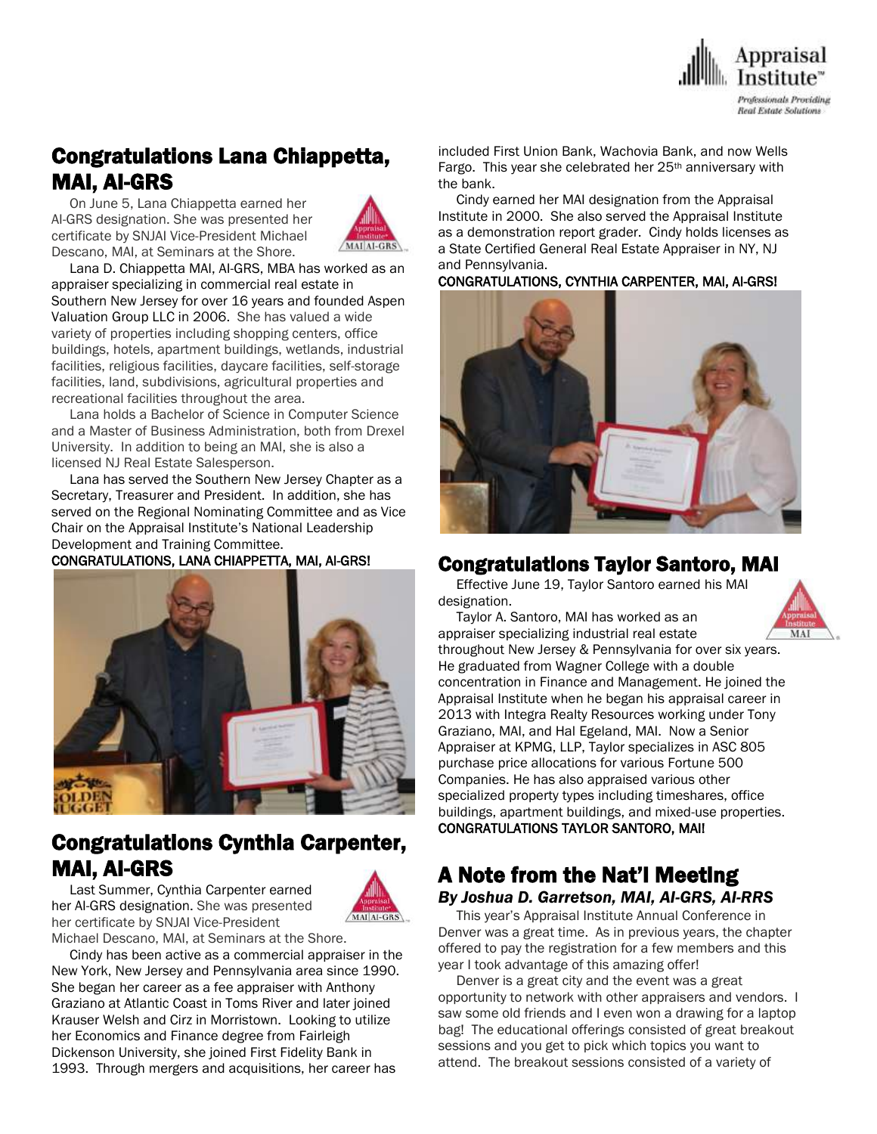

# Congratulations Lana Chiappetta, MAI, AI-GRS

 On June 5, Lana Chiappetta earned her AI-GRS designation. She was presented her certificate by SNJAI Vice-President Michael Descano, MAI, at Seminars at the Shore.



 Lana D. Chiappetta MAI, AI-GRS, MBA has worked as an appraiser specializing in commercial real estate in Southern New Jersey for over 16 years and founded Aspen Valuation Group LLC in 2006. She has valued a wide variety of properties including shopping centers, office buildings, hotels, apartment buildings, wetlands, industrial facilities, religious facilities, daycare facilities, self-storage facilities, land, subdivisions, agricultural properties and recreational facilities throughout the area.

 Lana holds a Bachelor of Science in Computer Science and a Master of Business Administration, both from Drexel University. In addition to being an MAI, she is also a licensed NJ Real Estate Salesperson.

 Lana has served the Southern New Jersey Chapter as a Secretary, Treasurer and President. In addition, she has served on the Regional Nominating Committee and as Vice Chair on the Appraisal Institute's National Leadership Development and Training Committee.

#### CONGRATULATIONS, LANA CHIAPPETTA, MAI, AI-GRS!



## Congratulations Cynthia Carpenter, MAI, AI-GRS

 Last Summer, Cynthia Carpenter earned her AI-GRS designation. She was presented her certificate by SNJAI Vice-President



Michael Descano, MAI, at Seminars at the Shore. Cindy has been active as a commercial appraiser in the New York, New Jersey and Pennsylvania area since 1990. She began her career as a fee appraiser with Anthony Graziano at Atlantic Coast in Toms River and later joined Krauser Welsh and Cirz in Morristown. Looking to utilize her Economics and Finance degree from Fairleigh Dickenson University, she joined First Fidelity Bank in 1993. Through mergers and acquisitions, her career has

included First Union Bank, Wachovia Bank, and now Wells Fargo. This year she celebrated her 25<sup>th</sup> anniversary with the bank.

 Cindy earned her MAI designation from the Appraisal Institute in 2000. She also served the Appraisal Institute as a demonstration report grader. Cindy holds licenses as a State Certified General Real Estate Appraiser in NY, NJ and Pennsylvania.

CONGRATULATIONS, CYNTHIA CARPENTER, MAI, AI-GRS!



#### Congratulations Taylor Santoro, MAI

 Effective June 19, Taylor Santoro earned his MAI designation.

Taylor A. Santoro, MAI has worked as an



appraiser specializing industrial real estate throughout New Jersey & Pennsylvania for over six years. He graduated from Wagner College with a double concentration in Finance and Management. He joined the Appraisal Institute when he began his appraisal career in 2013 with Integra Realty Resources working under Tony Graziano, MAI, and Hal Egeland, MAI. Now a Senior Appraiser at KPMG, LLP, Taylor specializes in ASC 805 purchase price allocations for various Fortune 500 Companies. He has also appraised various other specialized property types including timeshares, office buildings, apartment buildings, and mixed-use properties. CONGRATULATIONS TAYLOR SANTORO, MAI!

### A Note from the Nat'l Meeting *By Joshua D. Garretson, MAI, AI-GRS, AI-RRS*

 This year's Appraisal Institute Annual Conference in Denver was a great time. As in previous years, the chapter offered to pay the registration for a few members and this year I took advantage of this amazing offer!

 Denver is a great city and the event was a great opportunity to network with other appraisers and vendors. I saw some old friends and I even won a drawing for a laptop bag! The educational offerings consisted of great breakout sessions and you get to pick which topics you want to attend. The breakout sessions consisted of a variety of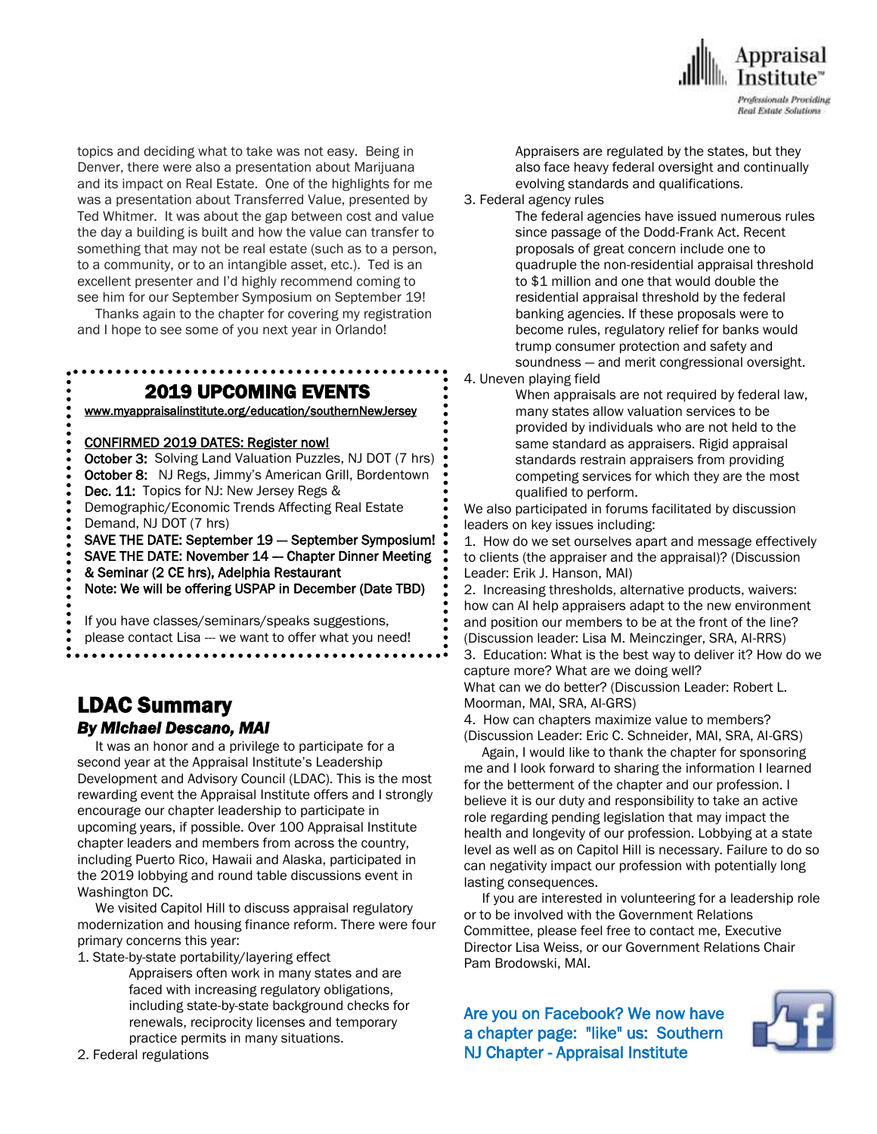

topics and deciding what to take was not easy. Being in Denver, there were also a presentation about Marijuana and its impact on Real Estate. One of the highlights for me was a presentation about Transferred Value, presented by Ted Whitmer. It was about the gap between cost and value the day a building is built and how the value can transfer to something that may not be real estate (such as to a person, to a community, or to an intangible asset, etc.). Ted is an excellent presenter and I'd highly recommend coming to see him for our September Symposium on September 19!

 Thanks again to the chapter for covering my registration and I hope to see some of you next year in Orlando!

> . . . . . . . . . . . . . . . . 2019 UPCOMING EVENTS

[www.myappraisalinstitute.org/education/southernNewJersey](http://www.myappraisalinstitute.org/education/southernNewJersey)

#### CONFIRMED 2019 DATES: Register now!

October 3: Solving Land Valuation Puzzles, NJ DOT (7 hrs) October 8: NJ Regs, Jimmy's American Grill, Bordentown Dec. 11: Topics for NJ: New Jersey Regs & Demographic/Economic Trends Affecting Real Estate Demand, NJ DOT (7 hrs) SAVE THE DATE: September 19 -- September Symposium! SAVE THE DATE: November 14 - Chapter Dinner Meeting & Seminar (2 CE hrs), Adelphia Restaurant

Note: We will be offering USPAP in December (Date TBD)

 If you have classes/seminars/speaks suggestions, please contact Lisa --- we want to offer what you need!

#### LDAC Summary *By Michael Descano, MAI*

 It was an honor and a privilege to participate for a second year at the Appraisal Institute's Leadership Development and Advisory Council (LDAC). This is the most rewarding event the Appraisal Institute offers and I strongly encourage our chapter leadership to participate in upcoming years, if possible. Over 100 Appraisal Institute chapter leaders and members from across the country, including Puerto Rico, Hawaii and Alaska, participated in the 2019 lobbying and round table discussions event in Washington DC.

 We visited Capitol Hill to discuss appraisal regulatory modernization and housing finance reform. There were four primary concerns this year:

1. State-by-state portability/layering effect

Appraisers often work in many states and are faced with increasing regulatory obligations, including state-by-state background checks for renewals, reciprocity licenses and temporary practice permits in many situations.

2. Federal regulations

Appraisers are regulated by the states, but they also face heavy federal oversight and continually evolving standards and qualifications.

3. Federal agency rules

The federal agencies have issued numerous rules since passage of the Dodd-Frank Act. Recent proposals of great concern include one to quadruple the non-residential appraisal threshold to \$1 million and one that would double the residential appraisal threshold by the federal banking agencies. If these proposals were to become rules, regulatory relief for banks would trump consumer protection and safety and soundness — and merit congressional oversight.

4. Uneven playing field

When appraisals are not required by federal law, many states allow valuation services to be provided by individuals who are not held to the same standard as appraisers. Rigid appraisal standards restrain appraisers from providing competing services for which they are the most qualified to perform.

We also participated in forums facilitated by discussion leaders on key issues including:

1. How do we set ourselves apart and message effectively to clients (the appraiser and the appraisal)? (Discussion Leader: Erik J. Hanson, MAI)

2. Increasing thresholds, alternative products, waivers: how can AI help appraisers adapt to the new environment and position our members to be at the front of the line? (Discussion leader: Lisa M. Meinczinger, SRA, AI-RRS)

3. Education: What is the best way to deliver it? How do we capture more? What are we doing well? What can we do better? (Discussion Leader: Robert L. Moorman, MAI, SRA, AI-GRS)

4. How can chapters maximize value to members? (Discussion Leader: Eric C. Schneider, MAI, SRA, AI-GRS)

 Again, I would like to thank the chapter for sponsoring me and I look forward to sharing the information I learned for the betterment of the chapter and our profession. I believe it is our duty and responsibility to take an active role regarding pending legislation that may impact the health and longevity of our profession. Lobbying at a state level as well as on Capitol Hill is necessary. Failure to do so can negativity impact our profession with potentially long lasting consequences.

 If you are interested in volunteering for a leadership role or to be involved with the Government Relations Committee, please feel free to contact me, Executive Director Lisa Weiss, or our Government Relations Chair Pam Brodowski, MAI.

Are you on Facebook? We now have a chapter page: "like" us: Southern NJ Chapter - Appraisal Institute

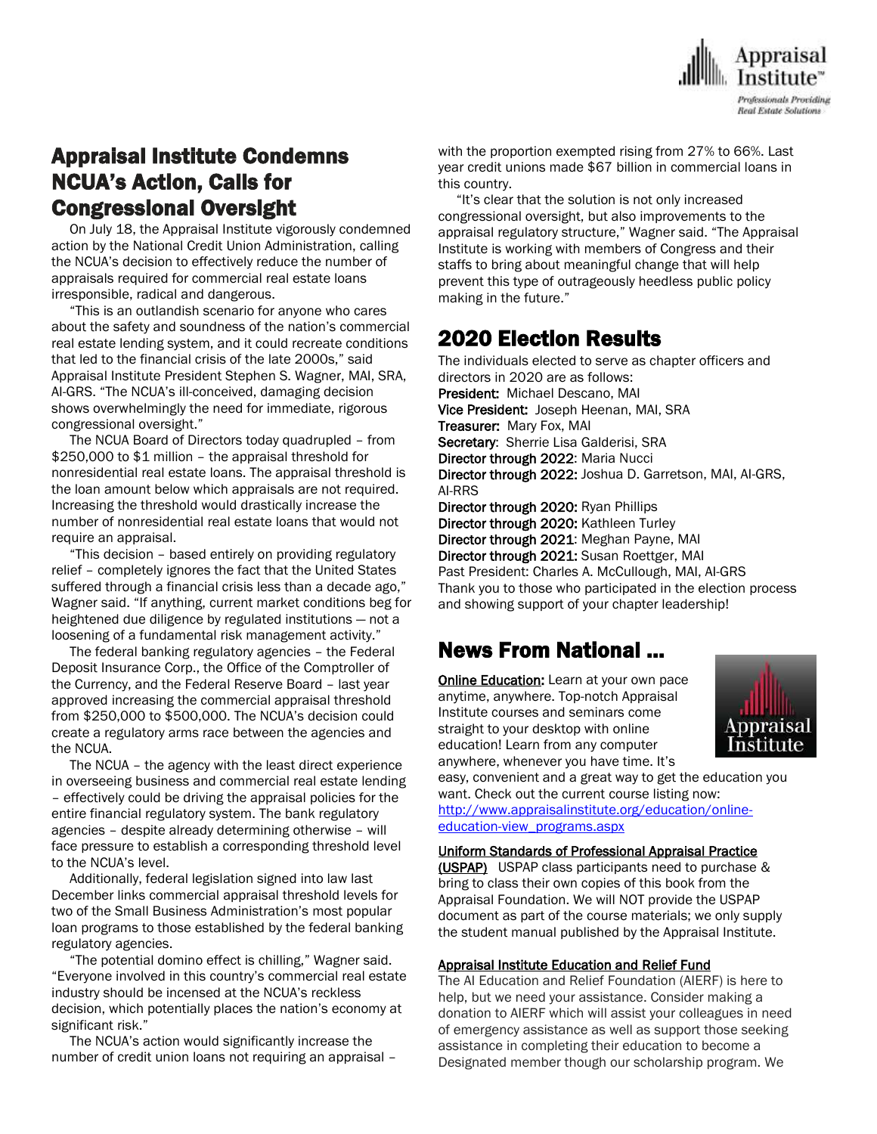

# Appraisal Institute Condemns NCUA's Action, Calls for Congressional Oversight

 On July 18, the Appraisal Institute vigorously condemned action by the National Credit Union Administration, calling the NCUA's decision to effectively reduce the number of appraisals required for commercial real estate loans irresponsible, radical and dangerous.

 "This is an outlandish scenario for anyone who cares about the safety and soundness of the nation's commercial real estate lending system, and it could recreate conditions that led to the financial crisis of the late 2000s," said Appraisal Institute President Stephen S. Wagner, MAI, SRA, AI-GRS. "The NCUA's ill-conceived, damaging decision shows overwhelmingly the need for immediate, rigorous congressional oversight."

 The NCUA Board of Directors today quadrupled – from \$250,000 to \$1 million – the appraisal threshold for nonresidential real estate loans. The appraisal threshold is the loan amount below which appraisals are not required. Increasing the threshold would drastically increase the number of nonresidential real estate loans that would not require an appraisal.

 "This decision – based entirely on providing regulatory relief – completely ignores the fact that the United States suffered through a financial crisis less than a decade ago," Wagner said. "If anything, current market conditions beg for heightened due diligence by regulated institutions — not a loosening of a fundamental risk management activity."

 The federal banking regulatory agencies – the Federal Deposit Insurance Corp., the Office of the Comptroller of the Currency, and the Federal Reserve Board – last year approved increasing the commercial appraisal threshold from \$250,000 to \$500,000. The NCUA's decision could create a regulatory arms race between the agencies and the NCUA.

 The NCUA – the agency with the least direct experience in overseeing business and commercial real estate lending – effectively could be driving the appraisal policies for the entire financial regulatory system. The bank regulatory agencies – despite already determining otherwise – will face pressure to establish a corresponding threshold level to the NCUA's level.

 Additionally, federal legislation signed into law last December links commercial appraisal threshold levels for two of the Small Business Administration's most popular loan programs to those established by the federal banking regulatory agencies.

 "The potential domino effect is chilling," Wagner said. "Everyone involved in this country's commercial real estate industry should be incensed at the NCUA's reckless decision, which potentially places the nation's economy at significant risk."

 The NCUA's action would significantly increase the number of credit union loans not requiring an appraisal – with the proportion exempted rising from 27% to 66%. Last year credit unions made \$67 billion in commercial loans in this country.

 "It's clear that the solution is not only increased congressional oversight, but also improvements to the appraisal regulatory structure," Wagner said. "The Appraisal Institute is working with members of Congress and their staffs to bring about meaningful change that will help prevent this type of outrageously heedless public policy making in the future."

## 2020 Election Results

The individuals elected to serve as chapter officers and directors in 2020 are as follows: President: Michael Descano, MAI Vice President: Joseph Heenan, MAI, SRA Treasurer: Mary Fox, MAI Secretary: Sherrie Lisa Galderisi, SRA Director through 2022: Maria Nucci Director through 2022: Joshua D. Garretson, MAI, AI-GRS, AI-RRS Director through 2020: Ryan Phillips Director through 2020: Kathleen Turley Director through 2021: Meghan Payne, MAI Director through 2021: Susan Roettger, MAI Past President: Charles A. McCullough, MAI, AI-GRS Thank you to those who participated in the election process and showing support of your chapter leadership!

# News From National …

**[Online Education:](http://www.mmsend50.com/ls.cfm?r=99596491&sid=8974475&m=957997&u=Appraise&s=http://www.appraisalinstitute.org/online)** Learn at your own pace anytime, anywhere. Top-notch Appraisal Institute courses and seminars come straight to your desktop with online education! Learn from any computer anywhere, whenever you have time. It's



easy, convenient and a great way to get the education you want. Check out the current course listing now: [http://www.appraisalinstitute.org/education/online-](http://www.appraisalinstitute.org/education/online-education-view_programs.aspx)

[education-view\\_programs.aspx](http://www.appraisalinstitute.org/education/online-education-view_programs.aspx) 

Uniform Standards of Professional Appraisal Practice (USPAP) USPAP class participants need to purchase & bring to class their own copies of this book from the Appraisal Foundation. We will NOT provide the USPAP document as part of the course materials; we only supply the student manual published by the Appraisal Institute.

#### Appraisal Institute Education and Relief Fund

The AI Education and Relief Foundation (AIERF) is here to help, but we need your assistance. Consider making a donation to AIERF which will assist your colleagues in need of emergency assistance as well as support those seeking assistance in completing their education to become a Designated member though our scholarship program. We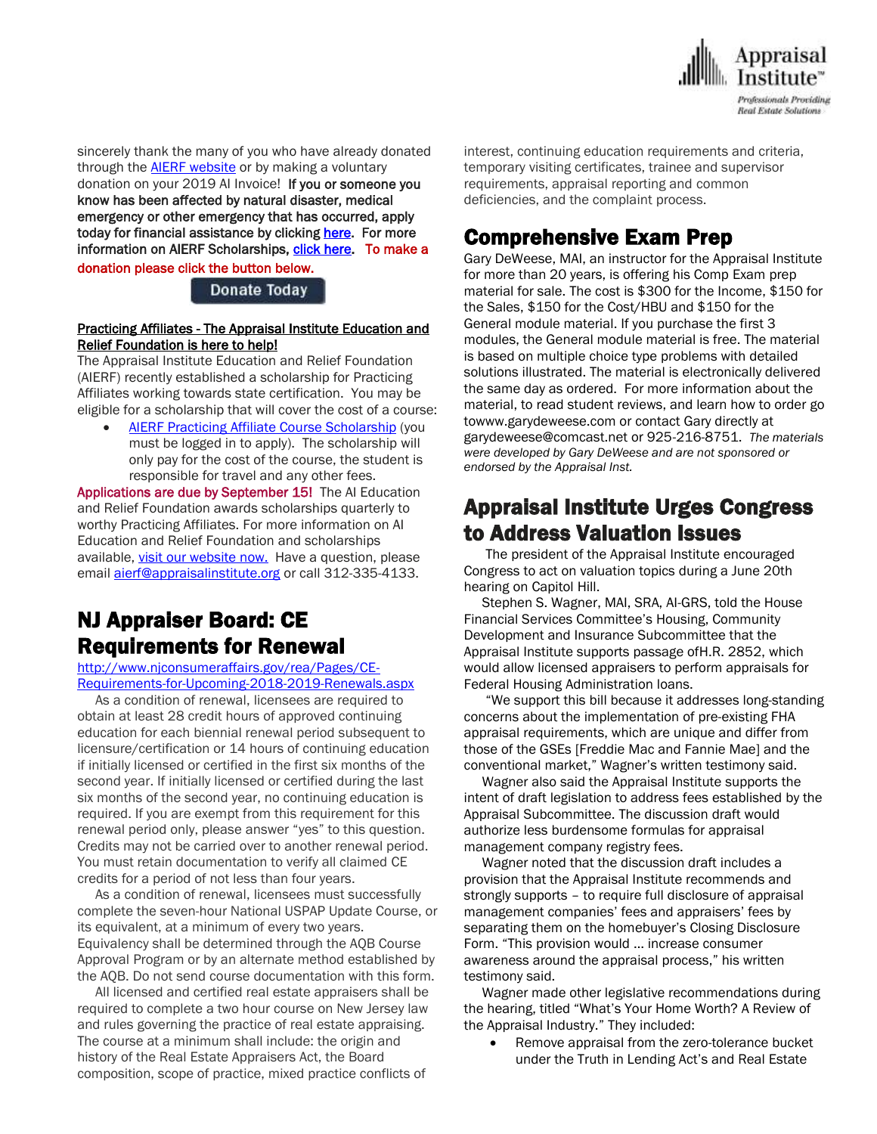

sincerely thank the many of you who have already donated through the **AIERF** [website](http://send.appraisalinstitute.org/link.cfm?r=TyxXOooBFM-9kcaVyjABIA~~&pe=0NW2OADxNU3EbUKtXAumJeUpqRzVXH1D8cRwShNQ-UbhS48QracrK31x-qbZb4yXa5zgrr2l4GW7bac7143aSg~~&t=QIew13Z0zbjQIaET-qgxTA~~) or by making a voluntary donation on your 2019 AI Invoice! If you or someone you know has been affected by natural disaster, medical emergency or other emergency that has occurred, apply today for financial assistance by clicking [here.](http://send.appraisalinstitute.org/link.cfm?r=TyxXOooBFM-9kcaVyjABIA~~&pe=VbUBYoFMnuJzhUrjk-o8vZPSVXCpTYNe26lfNuFxWBhKxDg23CxYeOqi7Txm-Wi-amng-zo24n1eN_5qljfqUg~~&t=QIew13Z0zbjQIaET-qgxTA~~) For more information on AIERF Scholarships[, click here.](http://send.appraisalinstitute.org/link.cfm?r=TyxXOooBFM-9kcaVyjABIA~~&pe=Hx6nUUZV6WqMrDEFqk3fbqFgGbsLqjMrNtunrYjElUG9Id-mmJo7ZCQN-DESuHRE0ecFjRJLsRGeLRsoZls26Q~~&t=QIew13Z0zbjQIaET-qgxTA~~) To make a donation please click the button below.

#### Donate Today

#### Practicing Affiliates - The Appraisal Institute Education and Relief Foundation is here to help!

The Appraisal Institute Education and Relief Foundation (AIERF) recently established a scholarship for Practicing Affiliates working towards state certification. You may be eligible for a scholarship that will cover the cost of a course:

 AIERF Practicing Affiliate Course [Scholarship](http://send.appraisalinstitute.org/link.cfm?r=TyxXOooBFM-9kcaVyjABIA~~&pe=sGUXbCbSphwcvlWMRtER6vc5yhAroqkIY0SI6zeJUcXZpPNP6KwGu_hYaDa2vX2ajiVIHM1Kk4YbFx_YA9vEwA~~&t=OTtM9cpyRerMBj7EobAoWw~~) (you must be logged in to apply). The scholarship will only pay for the cost of the course, the student is responsible for travel and any other fees.

Applications are due by September 15! The AI Education and Relief Foundation awards scholarships quarterly to worthy Practicing Affiliates. For more information on AI Education and Relief Foundation and scholarships available, visit our [website](http://send.appraisalinstitute.org/link.cfm?r=TyxXOooBFM-9kcaVyjABIA~~&pe=aXo4wG1hc32_s0VilR6IaI3S_uIzlB4l6S_61UCNGqxljA5i9Rr0YUn8PjAMPbRdfCRNTbphOKQlJe4k1D75GA~~&t=OTtM9cpyRerMBj7EobAoWw~~) now. Have a question, please email **[aierf@appraisalinstitute.org](mailto:aierf@appraisalinstitute.org)** or call 312-335-4133.

## NJ Appraiser Board: CE Requirements for Renewal

[http://www.njconsumeraffairs.gov/rea/Pages/CE-](http://www.njconsumeraffairs.gov/rea/Pages/CE-Requirements-for-Upcoming-2018-2019-Renewals.aspx)[Requirements-for-Upcoming-2018-2019-Renewals.aspx](http://www.njconsumeraffairs.gov/rea/Pages/CE-Requirements-for-Upcoming-2018-2019-Renewals.aspx)

 As a condition of renewal, licensees are required to obtain at least 28 credit hours of approved continuing education for each biennial renewal period subsequent to licensure/certification or 14 hours of continuing education if initially licensed or certified in the first six months of the second year. If initially licensed or certified during the last six months of the second year, no continuing education is required. If you are exempt from this requirement for this renewal period only, please answer "yes" to this question. Credits may not be carried over to another renewal period. You must retain documentation to verify all claimed CE credits for a period of not less than four years.

 As a condition of renewal, licensees must successfully complete the seven-hour National USPAP Update Course, or its equivalent, at a minimum of every two years. Equivalency shall be determined through the AQB Course Approval Program or by an alternate method established by the AQB. Do not send course documentation with this form.

 All licensed and certified real estate appraisers shall be required to complete a two hour course on New Jersey law and rules governing the practice of real estate appraising. The course at a minimum shall include: the origin and history of the Real Estate Appraisers Act, the Board composition, scope of practice, mixed practice conflicts of

interest, continuing education requirements and criteria, temporary visiting certificates, trainee and supervisor requirements, appraisal reporting and common deficiencies, and the complaint process.

## Comprehensive Exam Prep

Gary DeWeese, MAI, an instructor for the Appraisal Institute for more than 20 years, is offering his Comp Exam prep material for sale. The cost is \$300 for the Income, \$150 for the Sales, \$150 for the Cost/HBU and \$150 for the General module material. If you purchase the first 3 modules, the General module material is free. The material is based on multiple choice type problems with detailed solutions illustrated. The material is electronically delivered the same day as ordered. For more information about the material, to read student reviews, and learn how to order go towww.garydeweese.com or contact Gary directly at garydeweese@comcast.net or 925-216-8751. *The materials were developed by Gary DeWeese and are not sponsored or endorsed by the Appraisal Inst.*

## Appraisal Institute Urges Congress to Address Valuation Issues

 The president of the Appraisal Institute encouraged Congress to act on valuation topics during a June 20th hearing on Capitol Hill.

 Stephen S. Wagner, MAI, SRA, AI-GRS, told the House Financial Services Committee's Housing, Community Development and Insurance Subcommittee that the Appraisal Institute supports passage ofH.R. 2852, which would allow licensed appraisers to perform appraisals for Federal Housing Administration loans.

 "We support this bill because it addresses long-standing concerns about the implementation of pre-existing FHA appraisal requirements, which are unique and differ from those of the GSEs [Freddie Mac and Fannie Mae] and the conventional market," Wagner's written testimony said.

 Wagner also said the Appraisal Institute supports the intent of draft legislation to address fees established by the Appraisal Subcommittee. The discussion draft would authorize less burdensome formulas for appraisal management company registry fees.

 Wagner noted that the discussion draft includes a provision that the Appraisal Institute recommends and strongly supports – to require full disclosure of appraisal management companies' fees and appraisers' fees by separating them on the homebuyer's Closing Disclosure Form. "This provision would … increase consumer awareness around the appraisal process," his written testimony said.

 Wagner made other legislative recommendations during the hearing, titled "What's Your Home Worth? A Review of the Appraisal Industry." They included:

 Remove appraisal from the zero-tolerance bucket under the Truth in Lending Act's and Real Estate